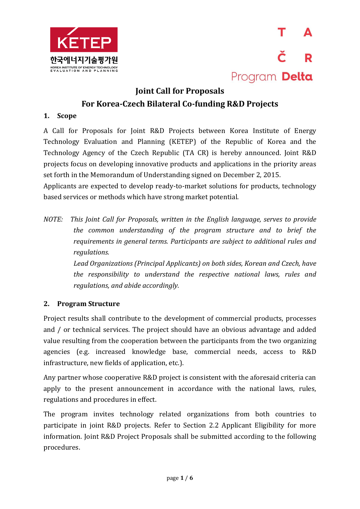



### **Joint Call for Proposals For Korea-Czech Bilateral Co-funding R&D Projects**

#### **1. Scope**

A Call for Proposals for Joint R&D Projects between Korea Institute of Energy Technology Evaluation and Planning (KETEP) of the Republic of Korea and the Technology Agency of the Czech Republic (TA CR) is hereby announced. Joint R&D projects focus on developing innovative products and applications in the priority areas set forth in the Memorandum of Understanding signed on December 2, 2015.

Applicants are expected to develop ready-to-market solutions for products, technology based services or methods which have strong market potential.

*NOTE: This Joint Call for Proposals, written in the English language, serves to provide the common understanding of the program structure and to brief the requirements in general terms. Participants are subject to additional rules and regulations.* 

> *Lead Organizations (Principal Applicants) on both sides, Korean and Czech, have the responsibility to understand the respective national laws, rules and regulations, and abide accordingly.*

#### **2. Program Structure**

Project results shall contribute to the development of commercial products, processes and / or technical services. The project should have an obvious advantage and added value resulting from the cooperation between the participants from the two organizing agencies (e.g. increased knowledge base, commercial needs, access to R&D infrastructure, new fields of application, etc.).

Any partner whose cooperative R&D project is consistent with the aforesaid criteria can apply to the present announcement in accordance with the national laws, rules, regulations and procedures in effect.

The program invites technology related organizations from both countries to participate in joint R&D projects. Refer to Section 2.2 Applicant Eligibility for more information. Joint R&D Project Proposals shall be submitted according to the following procedures.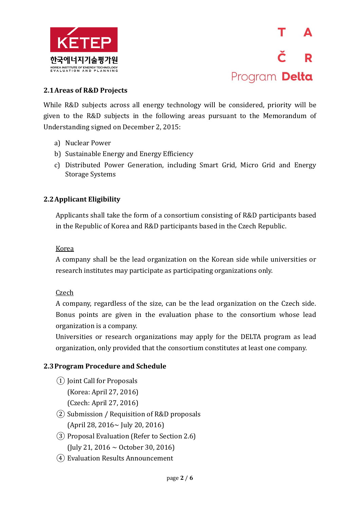



#### **2.1Areas of R&D Projects**

While R&D subjects across all energy technology will be considered, priority will be given to the R&D subjects in the following areas pursuant to the Memorandum of Understanding signed on December 2, 2015:

- a) Nuclear Power
- b) Sustainable Energy and Energy Efficiency
- c) Distributed Power Generation, including Smart Grid, Micro Grid and Energy Storage Systems

#### **2.2Applicant Eligibility**

Applicants shall take the form of a consortium consisting of R&D participants based in the Republic of Korea and R&D participants based in the Czech Republic.

#### Korea

A company shall be the lead organization on the Korean side while universities or research institutes may participate as participating organizations only.

#### Czech

A company, regardless of the size, can be the lead organization on the Czech side. Bonus points are given in the evaluation phase to the consortium whose lead organization is a company.

Universities or research organizations may apply for the DELTA program as lead organization, only provided that the consortium constitutes at least one company.

#### **2.3Program Procedure and Schedule**

- ① Joint Call for Proposals (Korea: April 27, 2016) (Czech: April 27, 2016)
- ② Submission / Requisition of R&D proposals (April 28, 2016~ July 20, 2016)
- ③ Proposal Evaluation (Refer to Section 2.6) (July 21, 2016 ~ October 30, 2016)
- ④ Evaluation Results Announcement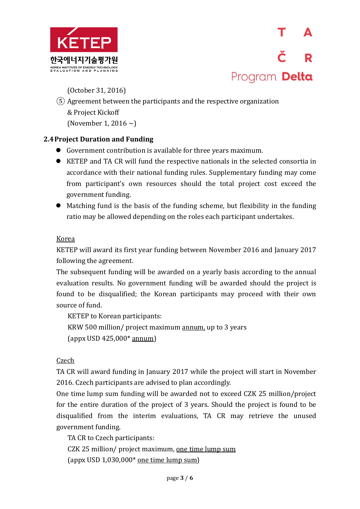

(October 31, 2016)

⑤ Agreement between the participants and the respective organization & Project Kickoff (November 1, 2016  $\sim$ )

#### **2.4Project Duration and Funding**

- Government contribution is available for three years maximum.
- KETEP and TA CR will fund the respective nationals in the selected consortia in accordance with their national funding rules. Supplementary funding may come from participant's own resources should the total project cost exceed the government funding.
- Matching fund is the basis of the funding scheme, but flexibility in the funding ratio may be allowed depending on the roles each participant undertakes.

#### Korea

KETEP will award its first year funding between November 2016 and January 2017 following the agreement.

The subsequent funding will be awarded on a yearly basis according to the annual evaluation results. No government funding will be awarded should the project is found to be disqualified; the Korean participants may proceed with their own source of fund.

KETEP to Korean participants: KRW 500 million/ project maximum annum, up to 3 years (appx USD 425,000\* annum)

Czech

TA CR will award funding in January 2017 while the project will start in November 2016. Czech participants are advised to plan accordingly.

One time lump sum funding will be awarded not to exceed CZK 25 million/project for the entire duration of the project of 3 years. Should the project is found to be disqualified from the interim evaluations, TA CR may retrieve the unused government funding.

TA CR to Czech participants:

CZK 25 million/ project maximum, one time lump sum

(appx USD  $1,030,000*$  one time lump sum)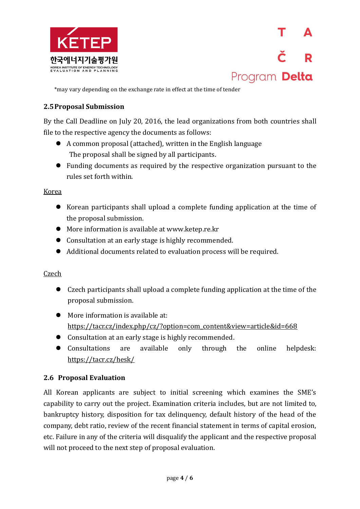

Program Delta

\*may vary depending on the exchange rate in effect at the time of tender

#### **2.5Proposal Submission**

By the Call Deadline on July 20, 2016, the lead organizations from both countries shall file to the respective agency the documents as follows:

- A common proposal (attached), written in the English language The proposal shall be signed by all participants.
- Funding documents as required by the respective organization pursuant to the rules set forth within.

#### Korea

- Korean participants shall upload a complete funding application at the time of the proposal submission.
- More information is available at www.ketep.re.kr
- Consultation at an early stage is highly recommended.
- Additional documents related to evaluation process will be required.

#### Czech

- Czech participants shall upload a complete funding application at the time of the proposal submission.
- More information is available at: [https://tacr.cz/index.php/cz/?option=com\\_content&view=article&id=668](https://tacr.cz/index.php/cz/?option=com_content&view=article&id=668)
- Consultation at an early stage is highly recommended.
- Consultations are available only through the online helpdesk: <https://tacr.cz/hesk/>

#### **2.6 Proposal Evaluation**

All Korean applicants are subject to initial screening which examines the SME's capability to carry out the project. Examination criteria includes, but are not limited to, bankruptcy history, disposition for tax delinquency, default history of the head of the company, debt ratio, review of the recent financial statement in terms of capital erosion, etc. Failure in any of the criteria will disqualify the applicant and the respective proposal will not proceed to the next step of proposal evaluation.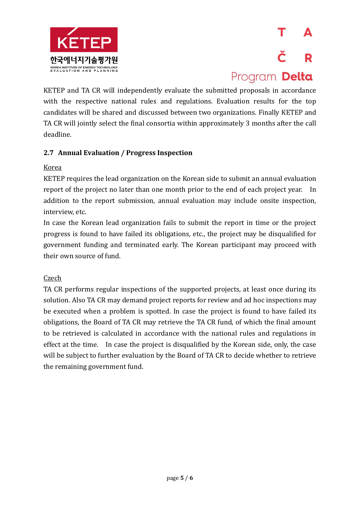

# Program Delta

KETEP and TA CR will independently evaluate the submitted proposals in accordance with the respective national rules and regulations. Evaluation results for the top candidates will be shared and discussed between two organizations. Finally KETEP and TA CR will jointly select the final consortia within approximately 3 months after the call deadline.

#### **2.7 Annual Evaluation / Progress Inspection**

#### Korea

KETEP requires the lead organization on the Korean side to submit an annual evaluation report of the project no later than one month prior to the end of each project year. In addition to the report submission, annual evaluation may include onsite inspection, interview, etc.

In case the Korean lead organization fails to submit the report in time or the project progress is found to have failed its obligations, etc., the project may be disqualified for government funding and terminated early. The Korean participant may proceed with their own source of fund.

#### **Czech**

TA CR performs regular inspections of the supported projects, at least once during its solution. Also TA CR may demand project reports for review and ad hoc inspections may be executed when a problem is spotted. In case the project is found to have failed its obligations, the Board of TA CR may retrieve the TA CR fund, of which the final amount to be retrieved is calculated in accordance with the national rules and regulations in effect at the time. In case the project is disqualified by the Korean side, only, the case will be subject to further evaluation by the Board of TA CR to decide whether to retrieve the remaining government fund.